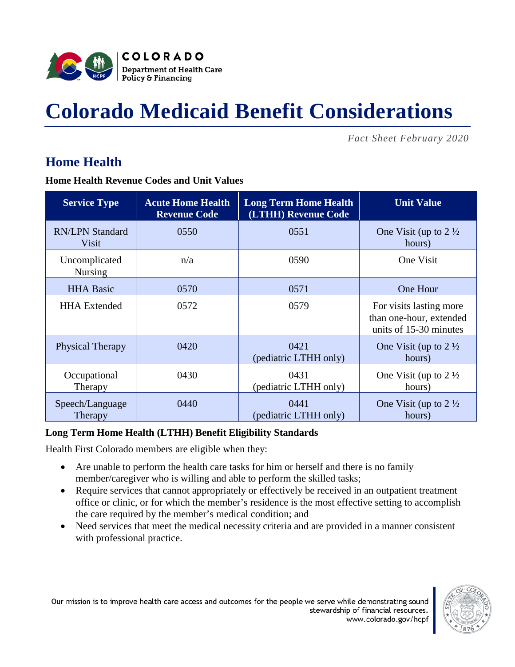

# **Colorado Medicaid Benefit Considerations**

*Fact Sheet February 2020*

### **Home Health**

**Home Health Revenue Codes and Unit Values**

| <b>Service Type</b>             | <b>Acute Home Health</b><br><b>Revenue Code</b> | <b>Long Term Home Health</b><br>(LTHH) Revenue Code | <b>Unit Value</b>                                                            |  |
|---------------------------------|-------------------------------------------------|-----------------------------------------------------|------------------------------------------------------------------------------|--|
| <b>RN/LPN Standard</b><br>Visit | 0550                                            | 0551                                                | One Visit (up to $2\frac{1}{2}$<br>hours)                                    |  |
| Uncomplicated<br><b>Nursing</b> | n/a                                             | 0590                                                | One Visit                                                                    |  |
| <b>HHA Basic</b>                | 0570                                            | 0571                                                | One Hour                                                                     |  |
| <b>HHA</b> Extended             | 0572                                            | 0579                                                | For visits lasting more<br>than one-hour, extended<br>units of 15-30 minutes |  |
| <b>Physical Therapy</b>         | 0420                                            | 0421<br>(pediatric LTHH only)                       | One Visit (up to $2\frac{1}{2}$<br>hours)                                    |  |
| Occupational<br>Therapy         | 0430                                            | 0431<br>(pediatric LTHH only)                       | One Visit (up to $2\frac{1}{2}$<br>hours)                                    |  |
| Speech/Language<br>Therapy      | 0440                                            | 0441<br>(pediatric LTHH only)                       | One Visit (up to $2\frac{1}{2}$<br>hours)                                    |  |

#### **Long Term Home Health (LTHH) Benefit Eligibility Standards**

Health First Colorado members are eligible when they:

- Are unable to perform the health care tasks for him or herself and there is no family member/caregiver who is willing and able to perform the skilled tasks;
- Require services that cannot appropriately or effectively be received in an outpatient treatment office or clinic, or for which the member's residence is the most effective setting to accomplish the care required by the member's medical condition; and
- Need services that meet the medical necessity criteria and are provided in a manner consistent with professional practice.

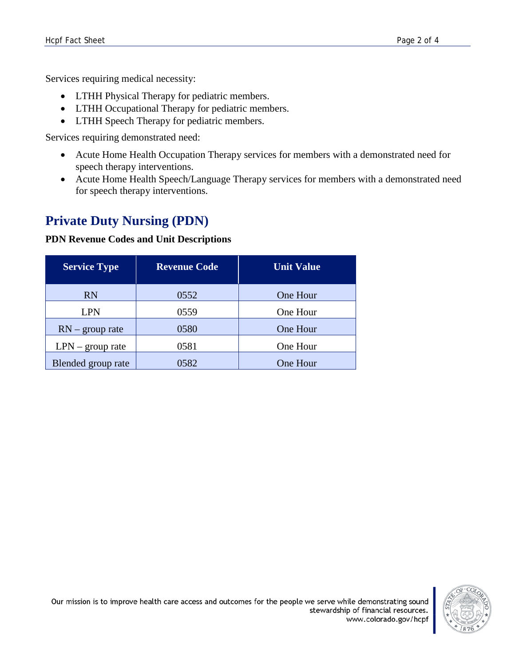Services requiring medical necessity:

- LTHH Physical Therapy for pediatric members.
- LTHH Occupational Therapy for pediatric members.
- LTHH Speech Therapy for pediatric members.

Services requiring demonstrated need:

- Acute Home Health Occupation Therapy services for members with a demonstrated need for speech therapy interventions.
- Acute Home Health Speech/Language Therapy services for members with a demonstrated need for speech therapy interventions.

## **Private Duty Nursing (PDN)**

#### **PDN Revenue Codes and Unit Descriptions**

| <b>Service Type</b> | <b>Revenue Code</b> | <b>Unit Value</b> |  |
|---------------------|---------------------|-------------------|--|
| <b>RN</b>           | 0552                | One Hour          |  |
| <b>LPN</b>          | 0559                | One Hour          |  |
| $RN - group$ rate   | 0580                | One Hour          |  |
| $LPN - group rate$  | 0581<br>One Hour    |                   |  |
| Blended group rate  | 0582                | One Hour          |  |

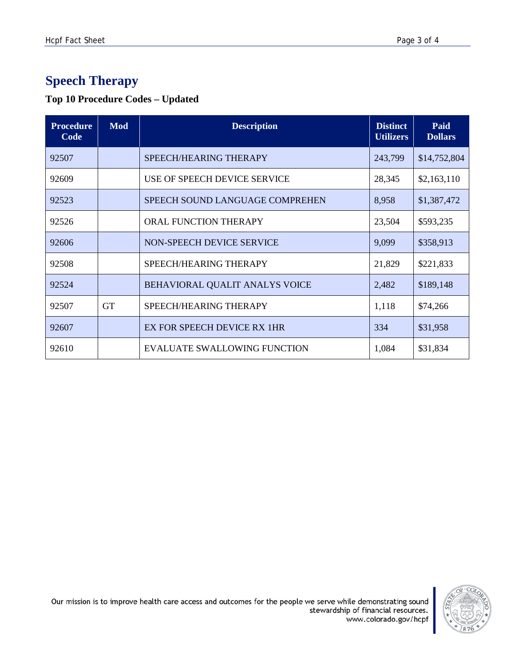## **Speech Therapy**

#### **Top 10 Procedure Codes – Updated**

| <b>Procedure</b><br>Code | <b>Mod</b> | <b>Description</b>                  |        | Paid<br><b>Dollars</b> |
|--------------------------|------------|-------------------------------------|--------|------------------------|
| 92507                    |            | SPEECH/HEARING THERAPY<br>243,799   |        | \$14,752,804           |
| 92609                    |            | USE OF SPEECH DEVICE SERVICE        | 28,345 | \$2,163,110            |
| 92523                    |            | SPEECH SOUND LANGUAGE COMPREHEN     | 8,958  | \$1,387,472            |
| 92526                    |            | ORAL FUNCTION THERAPY               | 23,504 | \$593,235              |
| 92606                    |            | NON-SPEECH DEVICE SERVICE           | 9,099  | \$358,913              |
| 92508                    |            | SPEECH/HEARING THERAPY              | 21,829 | \$221,833              |
| 92524                    |            | BEHAVIORAL QUALIT ANALYS VOICE      | 2,482  | \$189,148              |
| 92507                    | <b>GT</b>  | SPEECH/HEARING THERAPY              | 1,118  | \$74,266               |
| 92607                    |            | EX FOR SPEECH DEVICE RX 1HR         | 334    | \$31,958               |
| 92610                    |            | <b>EVALUATE SWALLOWING FUNCTION</b> | 1,084  | \$31,834               |